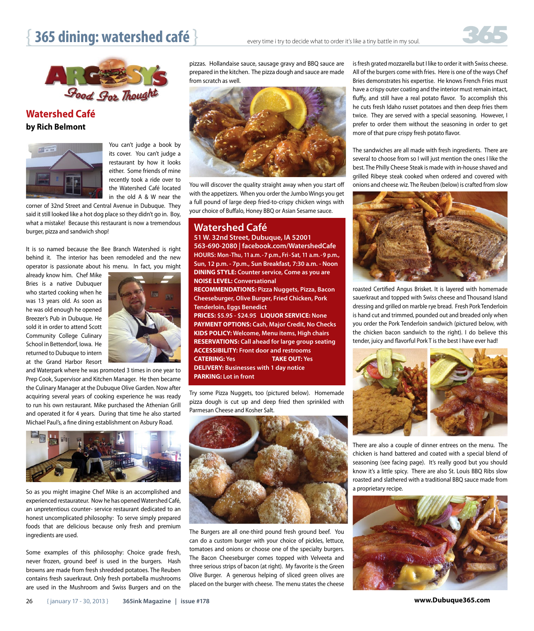## **365 dining: watershed café**  $\}$  every time i try to decide what to order it's like a tiny battle in my soul.



**Watershed Café by Rich Belmont**



You can't judge a book by its cover. You can't judge a restaurant by how it looks either. Some friends of mine recently took a ride over to the Watershed Café located in the old A & W near the

corner of 32nd Street and Central Avenue in Dubuque. They said it still looked like a hot dog place so they didn't go in. Boy, what a mistake! Because this restaurant is now a tremendous burger, pizza and sandwich shop!

It is so named because the Bee Branch Watershed is right behind it. The interior has been remodeled and the new operator is passionate about his menu. In fact, you might

already know him. Chef Mike Bries is a native Dubuquer who started cooking when he was 13 years old. As soon as he was old enough he opened Breezer's Pub in Dubuque. He sold it in order to attend Scott Community College Culinary School in Bettendorf, Iowa. He returned to Dubuque to intern at the Grand Harbor Resort



and Waterpark where he was promoted 3 times in one year to Prep Cook, Supervisor and Kitchen Manager. He then became the Culinary Manager at the Dubuque Olive Garden. Now after acquiring several years of cooking experience he was ready to run his own restaurant. Mike purchased the Athenian Grill and operated it for 4 years. During that time he also started Michael Paul's, a fine dining establishment on Asbury Road.



So as you might imagine Chef Mike is an accomplished and experienced restaurateur. Now he has opened Watershed Café, an unpretentious counter- service restaurant dedicated to an honest uncomplicated philosophy: To serve simply prepared foods that are delicious because only fresh and premium ingredients are used.

Some examples of this philosophy: Choice grade fresh, never frozen, ground beef is used in the burgers. Hash browns are made from fresh shredded potatoes. The Reuben contains fresh sauerkraut. Only fresh portabella mushrooms are used in the Mushroom and Swiss Burgers and on the

pizzas. Hollandaise sauce, sausage gravy and BBQ sauce are prepared in the kitchen. The pizza dough and sauce are made from scratch as well.



You will discover the quality straight away when you start off with the appetizers. When you order the Jumbo Wings you get a full pound of large deep fried-to-crispy chicken wings with your choice of Buffalo, Honey BBQ or Asian Sesame sauce.

## **Watershed Café**

51 W. 32nd Street, Dubuque, IA 52001 **563-690-2080 | facebook.com/WatershedCafe**  HOURS: Mon-Thu, 11 a.m. - 7 p.m., Fri-Sat, 11 a.m. - 9 p.m., Sun, 12 p.m. - 7p.m., Sun Breakfast, 7:30 a.m. - Noon **DINING STYLE:** Counter service, Come as you are **NOISE LEVEL: Conversational RECOMMENDATIONS: Pizza Nuggets, Pizza, Bacon Cheeseburger, Olive Burger, Fried Chicken, Pork Tenderloin, Eggs Benedict** 

**PRICES: \$5.95 - \$24.95 LIQUOR SERVICE: None** PAYMENT OPTIONS: Cash, Major Credit, No Checks KIDS POLICY: Welcome, Menu items, High chairs **RESERVATIONS: Call ahead for large group seating ACCESSIBILITY: Front door and restrooms CATERING: Yes TAKE OUT: Yes DELIVERY: Businesses with 1 day notice PARKING: Lot in front**

Try some Pizza Nuggets, too (pictured below). Homemade pizza dough is cut up and deep fried then sprinkled with Parmesan Cheese and Kosher Salt.



The Burgers are all one-third pound fresh ground beef. You can do a custom burger with your choice of pickles, lettuce, tomatoes and onions or choose one of the specialty burgers. The Bacon Cheeseburger comes topped with Velveeta and three serious strips of bacon (at right). My favorite is the Green Olive Burger. A generous helping of sliced green olives are placed on the burger with cheese. The menu states the cheese is fresh grated mozzarella but I like to order it with Swiss cheese. All of the burgers come with fries. Here is one of the ways Chef Bries demonstrates his expertise. He knows French Fries must have a crispy outer coating and the interior must remain intact, fluffy, and still have a real potato flavor. To accomplish this he cuts fresh Idaho russet potatoes and then deep fries them twice. They are served with a special seasoning. However, I prefer to order them without the seasoning in order to get more of that pure crispy fresh potato flavor.

The sandwiches are all made with fresh ingredients. There are several to choose from so I will just mention the ones I like the best. The Philly Cheese Steak is made with in-house shaved and grilled Ribeye steak cooked when ordered and covered with onions and cheese wiz. The Reuben (below) is crafted from slow



roasted Certified Angus Brisket. It is layered with homemade sauerkraut and topped with Swiss cheese and Thousand Island dressing and grilled on marble rye bread. Fresh Pork Tenderloin is hand cut and trimmed, pounded out and breaded only when you order the Pork Tenderloin sandwich (pictured below, with the chicken bacon sandwich to the right). I do believe this tender, juicy and flavorful Pork T is the best I have ever had!



There are also a couple of dinner entrees on the menu. The chicken is hand battered and coated with a special blend of seasoning (see facing page). It's really good but you should know it's a little spicy. There are also St. Louis BBQ Ribs slow roasted and slathered with a traditional BBQ sauce made from a proprietary recipe.